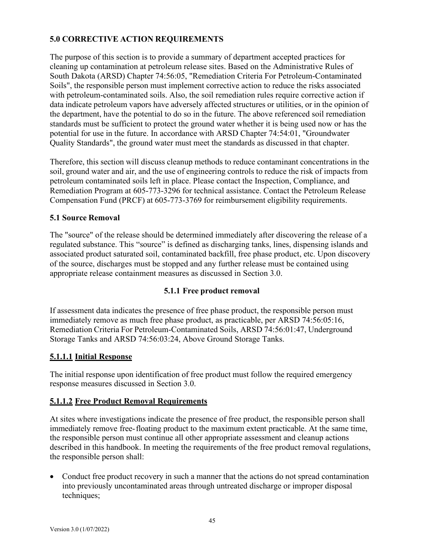## **5.0 CORRECTIVE ACTION REQUIREMENTS**

The purpose of this section is to provide a summary of department accepted practices for cleaning up contamination at petroleum release sites. Based on the Administrative Rules of South Dakota (ARSD) Chapter 74:56:05, "Remediation Criteria For Petroleum-Contaminated Soils", the responsible person must implement corrective action to reduce the risks associated with petroleum-contaminated soils. Also, the soil remediation rules require corrective action if data indicate petroleum vapors have adversely affected structures or utilities, or in the opinion of the department, have the potential to do so in the future. The above referenced soil remediation standards must be sufficient to protect the ground water whether it is being used now or has the potential for use in the future. In accordance with ARSD Chapter 74:54:01, "Groundwater Quality Standards", the ground water must meet the standards as discussed in that chapter.

Therefore, this section will discuss cleanup methods to reduce contaminant concentrations in the soil, ground water and air, and the use of engineering controls to reduce the risk of impacts from petroleum contaminated soils left in place. Please contact the Inspection, Compliance, and Remediation Program at 605-773-3296 for technical assistance. Contact the Petroleum Release Compensation Fund (PRCF) at 605-773-3769 for reimbursement eligibility requirements.

## **5.1 Source Removal**

The "source" of the release should be determined immediately after discovering the release of a regulated substance. This "source" is defined as discharging tanks, lines, dispensing islands and associated product saturated soil, contaminated backfill, free phase product, etc. Upon discovery of the source, discharges must be stopped and any further release must be contained using appropriate release containment measures as discussed in Section 3.0.

## **5.1.1 Free product removal**

If assessment data indicates the presence of free phase product, the responsible person must immediately remove as much free phase product, as practicable, per ARSD 74:56:05:16, Remediation Criteria For Petroleum-Contaminated Soils, ARSD 74:56:01:47, Underground Storage Tanks and ARSD 74:56:03:24, Above Ground Storage Tanks.

## **5.1.1.1 Initial Response**

The initial response upon identification of free product must follow the required emergency response measures discussed in Section 3.0.

## **5.1.1.2 Free Product Removal Requirements**

At sites where investigations indicate the presence of free product, the responsible person shall immediately remove free-floating product to the maximum extent practicable. At the same time, the responsible person must continue all other appropriate assessment and cleanup actions described in this handbook. In meeting the requirements of the free product removal regulations, the responsible person shall:

• Conduct free product recovery in such a manner that the actions do not spread contamination into previously uncontaminated areas through untreated discharge or improper disposal techniques;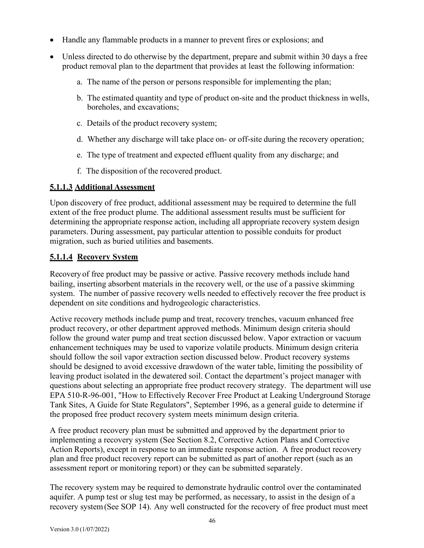- Handle any flammable products in a manner to prevent fires or explosions; and
- Unless directed to do otherwise by the department, prepare and submit within 30 days a free product removal plan to the department that provides at least the following information:
	- a. The name of the person or persons responsible for implementing the plan;
	- b. The estimated quantity and type of product on-site and the product thickness in wells, boreholes, and excavations;
	- c. Details of the product recovery system;
	- d. Whether any discharge will take place on- or off-site during the recovery operation;
	- e. The type of treatment and expected effluent quality from any discharge; and
	- f. The disposition of the recovered product.

#### **5.1.1.3 Additional Assessment**

Upon discovery of free product, additional assessment may be required to determine the full extent of the free product plume. The additional assessment results must be sufficient for determining the appropriate response action, including all appropriate recovery system design parameters. During assessment, pay particular attention to possible conduits for product migration, such as buried utilities and basements.

## **5.1.1.4 Recovery System**

Recovery of free product may be passive or active. Passive recovery methods include hand bailing, inserting absorbent materials in the recovery well, or the use of a passive skimming system. The number of passive recovery wells needed to effectively recover the free product is dependent on site conditions and hydrogeologic characteristics.

Active recovery methods include pump and treat, recovery trenches, vacuum enhanced free product recovery, or other department approved methods. Minimum design criteria should follow the ground water pump and treat section discussed below. Vapor extraction or vacuum enhancement techniques may be used to vaporize volatile products. Minimum design criteria should follow the soil vapor extraction section discussed below. Product recovery systems should be designed to avoid excessive drawdown of the water table, limiting the possibility of leaving product isolated in the dewatered soil. Contact the department's project manager with questions about selecting an appropriate free product recovery strategy. The department will use EPA 510-R-96-001, "How to Effectively Recover Free Product at Leaking Underground Storage Tank Sites, A Guide for State Regulators", September 1996, as a general guide to determine if the proposed free product recovery system meets minimum design criteria.

A free product recovery plan must be submitted and approved by the department prior to implementing a recovery system (See Section 8.2, Corrective Action Plans and Corrective Action Reports), except in response to an immediate response action. A free product recovery plan and free product recovery report can be submitted as part of another report (such as an assessment report or monitoring report) or they can be submitted separately.

The recovery system may be required to demonstrate hydraulic control over the contaminated aquifer. A pump test or slug test may be performed, as necessary, to assist in the design of a recovery system(See SOP 14). Any well constructed for the recovery of free product must meet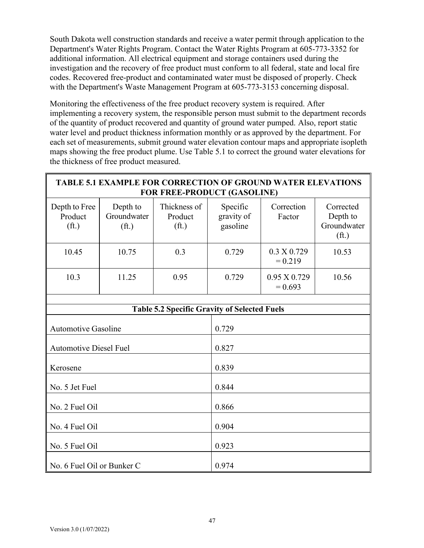South Dakota well construction standards and receive a water permit through application to the Department's Water Rights Program. Contact the Water Rights Program at 605-773-3352 for additional information. All electrical equipment and storage containers used during the investigation and the recovery of free product must conform to all federal, state and local fire codes. Recovered free-product and contaminated water must be disposed of properly. Check with the Department's Waste Management Program at 605-773-3153 concerning disposal.

Monitoring the effectiveness of the free product recovery system is required. After implementing a recovery system, the responsible person must submit to the department records of the quantity of product recovered and quantity of ground water pumped. Also, report static water level and product thickness information monthly or as approved by the department. For each set of measurements, submit ground water elevation contour maps and appropriate isopleth maps showing the free product plume. Use Table 5.1 to correct the ground water elevations for the thickness of free product measured.

| <b>TABLE 5.1 EXAMPLE FOR CORRECTION OF GROUND WATER ELEVATIONS</b><br>FOR FREE-PRODUCT (GASOLINE) |                                              |                                              |                                    |                                  |                                                           |
|---------------------------------------------------------------------------------------------------|----------------------------------------------|----------------------------------------------|------------------------------------|----------------------------------|-----------------------------------------------------------|
| Depth to Free<br>Product<br>(f <sub>t</sub> )                                                     | Depth to<br>Groundwater<br>(f <sub>t</sub> ) | Thickness of<br>Product<br>(f <sup>t</sup> ) | Specific<br>gravity of<br>gasoline | Correction<br>Factor             | Corrected<br>Depth to<br>Groundwater<br>(f <sub>t</sub> ) |
| 10.45                                                                                             | 10.75                                        | 0.3                                          | 0.729                              | 0.3 X 0.729<br>$= 0.219$         | 10.53                                                     |
| 10.3                                                                                              | 11.25                                        | 0.95                                         | 0.729                              | $0.95 \times 0.729$<br>$= 0.693$ | 10.56                                                     |
| <b>Table 5.2 Specific Gravity of Selected Fuels</b>                                               |                                              |                                              |                                    |                                  |                                                           |
|                                                                                                   |                                              |                                              |                                    |                                  |                                                           |
| <b>Automotive Gasoline</b>                                                                        |                                              |                                              | 0.729                              |                                  |                                                           |
| <b>Automotive Diesel Fuel</b>                                                                     |                                              |                                              | 0.827                              |                                  |                                                           |
| Kerosene                                                                                          |                                              |                                              | 0.839                              |                                  |                                                           |
| No. 5 Jet Fuel                                                                                    |                                              |                                              | 0.844                              |                                  |                                                           |
| No. 2 Fuel Oil                                                                                    |                                              |                                              | 0.866                              |                                  |                                                           |
| No. 4 Fuel Oil                                                                                    |                                              |                                              | 0.904                              |                                  |                                                           |
| No. 5 Fuel Oil                                                                                    |                                              |                                              | 0.923                              |                                  |                                                           |
| No. 6 Fuel Oil or Bunker C                                                                        |                                              |                                              | 0.974                              |                                  |                                                           |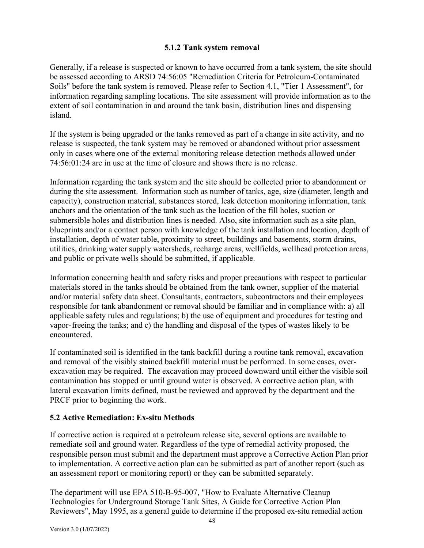## **5.1.2 Tank system removal**

Generally, if a release is suspected or known to have occurred from a tank system, the site should be assessed according to ARSD 74:56:05 "Remediation Criteria for Petroleum-Contaminated Soils" before the tank system is removed. Please refer to Section 4.1, "Tier 1 Assessment", for information regarding sampling locations. The site assessment will provide information as to the extent of soil contamination in and around the tank basin, distribution lines and dispensing island.

If the system is being upgraded or the tanks removed as part of a change in site activity, and no release is suspected, the tank system may be removed or abandoned without prior assessment only in cases where one of the external monitoring release detection methods allowed under 74:56:01:24 are in use at the time of closure and shows there is no release.

Information regarding the tank system and the site should be collected prior to abandonment or during the site assessment. Information such as number of tanks, age, size (diameter, length and capacity), construction material, substances stored, leak detection monitoring information, tank anchors and the orientation of the tank such as the location of the fill holes, suction or submersible holes and distribution lines is needed. Also, site information such as a site plan, blueprints and/or a contact person with knowledge of the tank installation and location, depth of installation, depth of water table, proximity to street, buildings and basements, storm drains, utilities, drinking water supply watersheds, recharge areas, wellfields, wellhead protection areas, and public or private wells should be submitted, if applicable.

Information concerning health and safety risks and proper precautions with respect to particular materials stored in the tanks should be obtained from the tank owner, supplier of the material and/or material safety data sheet. Consultants, contractors, subcontractors and their employees responsible for tank abandonment or removal should be familiar and in compliance with: a) all applicable safety rules and regulations; b) the use of equipment and procedures for testing and vapor-freeing the tanks; and c) the handling and disposal of the types of wastes likely to be encountered.

If contaminated soil is identified in the tank backfill during a routine tank removal, excavation and removal of the visibly stained backfill material must be performed. In some cases, overexcavation may be required. The excavation may proceed downward until either the visible soil contamination has stopped or until ground water is observed. A corrective action plan, with lateral excavation limits defined, must be reviewed and approved by the department and the PRCF prior to beginning the work.

## **5.2 Active Remediation: Ex-situ Methods**

If corrective action is required at a petroleum release site, several options are available to remediate soil and ground water. Regardless of the type of remedial activity proposed, the responsible person must submit and the department must approve a Corrective Action Plan prior to implementation. A corrective action plan can be submitted as part of another report (such as an assessment report or monitoring report) or they can be submitted separately.

The department will use EPA 510-B-95-007, "How to Evaluate Alternative Cleanup Technologies for Underground Storage Tank Sites, A Guide for Corrective Action Plan Reviewers", May 1995, as a general guide to determine if the proposed ex-situ remedial action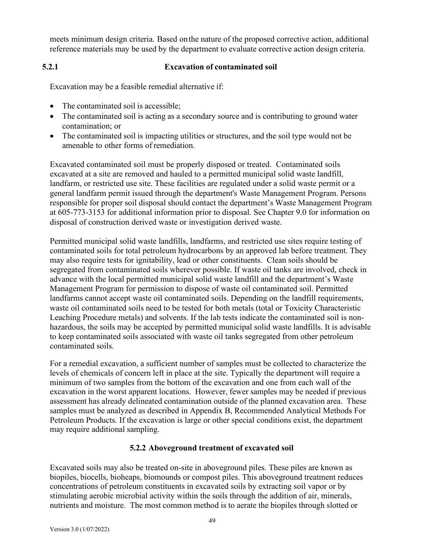meets minimum design criteria. Based onthe nature of the proposed corrective action, additional reference materials may be used by the department to evaluate corrective action design criteria.

# **5.2.1 Excavation of contaminated soil**

Excavation may be a feasible remedial alternative if:

- The contaminated soil is accessible;
- The contaminated soil is acting as a secondary source and is contributing to ground water contamination; or
- The contaminated soil is impacting utilities or structures, and the soil type would not be amenable to other forms of remediation.

Excavated contaminated soil must be properly disposed or treated. Contaminated soils excavated at a site are removed and hauled to a permitted municipal solid waste landfill, landfarm, or restricted use site. These facilities are regulated under a solid waste permit or a general landfarm permit issued through the department's Waste Management Program. Persons responsible for proper soil disposal should contact the department's Waste Management Program at 605-773-3153 for additional information prior to disposal. See Chapter 9.0 for information on disposal of construction derived waste or investigation derived waste.

Permitted municipal solid waste landfills, landfarms, and restricted use sites require testing of contaminated soils for total petroleum hydrocarbons by an approved lab before treatment. They may also require tests for ignitability, lead or other constituents. Clean soils should be segregated from contaminated soils wherever possible. If waste oil tanks are involved, check in advance with the local permitted municipal solid waste landfill and the department's Waste Management Program for permission to dispose of waste oil contaminated soil. Permitted landfarms cannot accept waste oil contaminated soils. Depending on the landfill requirements, waste oil contaminated soils need to be tested for both metals (total or Toxicity Characteristic Leaching Procedure metals) and solvents. If the lab tests indicate the contaminated soil is nonhazardous, the soils may be accepted by permitted municipal solid waste landfills. It is advisable to keep contaminated soils associated with waste oil tanks segregated from other petroleum contaminated soils.

For a remedial excavation, a sufficient number of samples must be collected to characterize the levels of chemicals of concern left in place at the site. Typically the department will require a minimum of two samples from the bottom of the excavation and one from each wall of the excavation in the worst apparent locations. However, fewer samples may be needed if previous assessment has already delineated contamination outside of the planned excavation area. These samples must be analyzed as described in Appendix B, Recommended Analytical Methods For Petroleum Products. If the excavation is large or other special conditions exist, the department may require additional sampling.

#### **5.2.2 Aboveground treatment of excavated soil**

Excavated soils may also be treated on-site in aboveground piles. These piles are known as biopiles, biocells, bioheaps, biomounds or compost piles. This aboveground treatment reduces concentrations of petroleum constituents in excavated soils by extracting soil vapor or by stimulating aerobic microbial activity within the soils through the addition of air, minerals, nutrients and moisture. The most common method is to aerate the biopiles through slotted or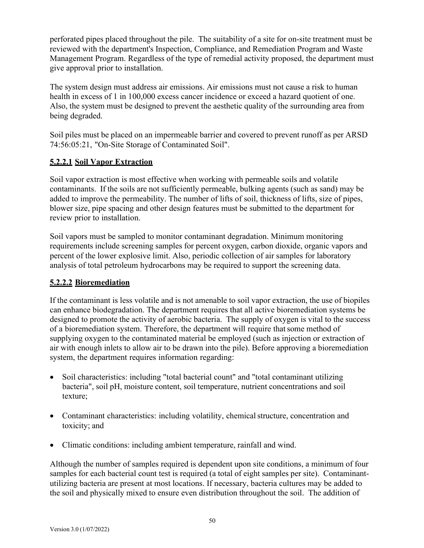perforated pipes placed throughout the pile. The suitability of a site for on-site treatment must be reviewed with the department's Inspection, Compliance, and Remediation Program and Waste Management Program. Regardless of the type of remedial activity proposed, the department must give approval prior to installation.

The system design must address air emissions. Air emissions must not cause a risk to human health in excess of 1 in 100,000 excess cancer incidence or exceed a hazard quotient of one. Also, the system must be designed to prevent the aesthetic quality of the surrounding area from being degraded.

Soil piles must be placed on an impermeable barrier and covered to prevent runoff as per ARSD 74:56:05:21, "On-Site Storage of Contaminated Soil".

# **5.2.2.1 Soil Vapor Extraction**

Soil vapor extraction is most effective when working with permeable soils and volatile contaminants. If the soils are not sufficiently permeable, bulking agents (such as sand) may be added to improve the permeability. The number of lifts of soil, thickness of lifts, size of pipes, blower size, pipe spacing and other design features must be submitted to the department for review prior to installation.

Soil vapors must be sampled to monitor contaminant degradation. Minimum monitoring requirements include screening samples for percent oxygen, carbon dioxide, organic vapors and percent of the lower explosive limit. Also, periodic collection of air samples for laboratory analysis of total petroleum hydrocarbons may be required to support the screening data.

## **5.2.2.2 Bioremediation**

If the contaminant is less volatile and is not amenable to soil vapor extraction, the use of biopiles can enhance biodegradation. The department requires that all active bioremediation systems be designed to promote the activity of aerobic bacteria. The supply of oxygen is vital to the success of a bioremediation system. Therefore, the department will require thatsome method of supplying oxygen to the contaminated material be employed (such as injection or extraction of air with enough inlets to allow air to be drawn into the pile). Before approving a bioremediation system, the department requires information regarding:

- Soil characteristics: including "total bacterial count" and "total contaminant utilizing bacteria", soil pH, moisture content, soil temperature, nutrient concentrations and soil texture;
- Contaminant characteristics: including volatility, chemical structure, concentration and toxicity; and
- Climatic conditions: including ambient temperature, rainfall and wind.

Although the number of samples required is dependent upon site conditions, a minimum of four samples for each bacterial count test is required (a total of eight samples per site). Contaminantutilizing bacteria are present at most locations. If necessary, bacteria cultures may be added to the soil and physically mixed to ensure even distribution throughout the soil. The addition of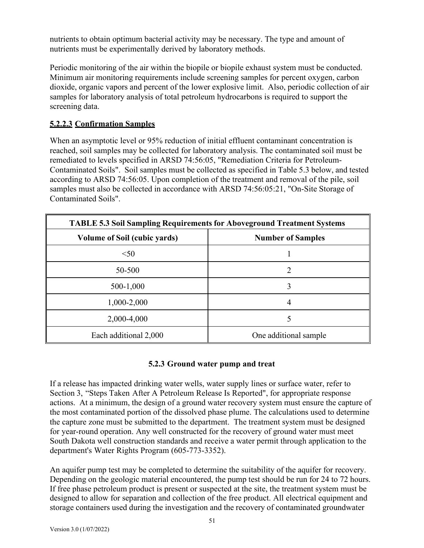nutrients to obtain optimum bacterial activity may be necessary. The type and amount of nutrients must be experimentally derived by laboratory methods.

Periodic monitoring of the air within the biopile or biopile exhaust system must be conducted. Minimum air monitoring requirements include screening samples for percent oxygen, carbon dioxide, organic vapors and percent of the lower explosive limit. Also, periodic collection of air samples for laboratory analysis of total petroleum hydrocarbons is required to support the screening data.

# **5.2.2.3 Confirmation Samples**

When an asymptotic level or 95% reduction of initial effluent contaminant concentration is reached, soil samples may be collected for laboratory analysis. The contaminated soil must be remediated to levels specified in ARSD 74:56:05, "Remediation Criteria for Petroleum-Contaminated Soils". Soil samples must be collected as specified in Table 5.3 below, and tested according to ARSD 74:56:05. Upon completion of the treatment and removal of the pile, soil samples must also be collected in accordance with ARSD 74:56:05:21, "On-Site Storage of Contaminated Soils".

| <b>TABLE 5.3 Soil Sampling Requirements for Aboveground Treatment Systems</b> |                          |  |
|-------------------------------------------------------------------------------|--------------------------|--|
| Volume of Soil (cubic yards)                                                  | <b>Number of Samples</b> |  |
| < 50                                                                          |                          |  |
| 50-500                                                                        | 2                        |  |
| 500-1,000                                                                     | 3                        |  |
| 1,000-2,000                                                                   | 4                        |  |
| 2,000-4,000                                                                   | 5                        |  |
| Each additional 2,000                                                         | One additional sample    |  |

## **5.2.3 Ground water pump and treat**

If a release has impacted drinking water wells, water supply lines or surface water, refer to Section 3, "Steps Taken After A Petroleum Release Is Reported", for appropriate response actions. At a minimum, the design of a ground water recovery system must ensure the capture of the most contaminated portion of the dissolved phase plume. The calculations used to determine the capture zone must be submitted to the department. The treatment system must be designed for year-round operation. Any well constructed for the recovery of ground water must meet South Dakota well construction standards and receive a water permit through application to the department's Water Rights Program (605-773-3352).

An aquifer pump test may be completed to determine the suitability of the aquifer for recovery. Depending on the geologic material encountered, the pump test should be run for 24 to 72 hours. If free phase petroleum product is present or suspected at the site, the treatment system must be designed to allow for separation and collection of the free product. All electrical equipment and storage containers used during the investigation and the recovery of contaminated groundwater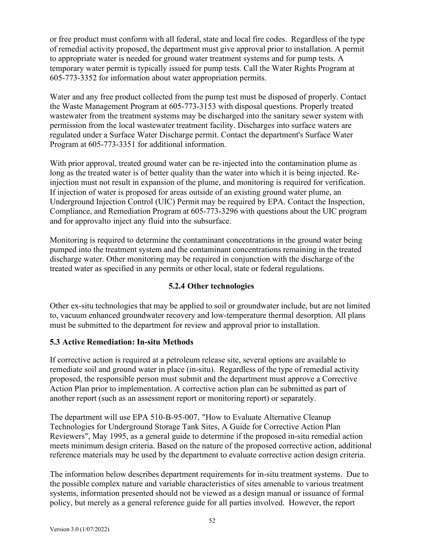or free product must conform with all federal, state and local fire codes. Regardless of the type of remedial activity proposed, the department must give approval prior to installation. A permit to appropriate water is needed for ground water treatment systems and for pump tests. A temporary water permit is typically issued for pump tests. Call the Water Rights Program at 605-773-3352 for information about water appropriation permits.

Water and any free product collected from the pump test must be disposed of properly. Contact the Waste Management Program at 605-773-3153 with disposal questions. Properly treated wastewater from the treatment systems may be discharged into the sanitary sewer system with permission from the local wastewater treatment facility. Discharges into surface waters are regulated under a Surface Water Discharge permit. Contact the department's Surface Water Program at 605-773-3351 for additional information.

With prior approval, treated ground water can be re-injected into the contamination plume as long as the treated water is of better quality than the water into which it is being injected. Reinjection must not result in expansion of the plume, and monitoring is required for verification. If injection of water is proposed for areas outside of an existing ground water plume, an Underground Injection Control (UIC) Permit may be required by EPA. Contact the Inspection, Compliance, and Remediation Program at 605-773-3296 with questions about the UIC program and for approvalto inject any fluid into the subsurface.

Monitoring is required to determine the contaminant concentrations in the ground water being pumped into the treatment system and the contaminant concentrations remaining in the treated discharge water. Other monitoring may be required in conjunction with the discharge of the treated water as specified in any permits or other local, state or federal regulations.

## **5.2.4 Other technologies**

Other ex-situ technologies that may be applied to soil or groundwater include, but are not limited to, vacuum enhanced groundwater recovery and low-temperature thermal desorption. All plans must be submitted to the department for review and approval prior to installation.

#### **5.3 Active Remediation: In-situ Methods**

If corrective action is required at a petroleum release site, several options are available to remediate soil and ground water in place (in-situ). Regardless of the type of remedial activity proposed, the responsible person must submit and the department must approve a Corrective Action Plan prior to implementation. A corrective action plan can be submitted as part of another report (such as an assessment report or monitoring report) or separately.

The department will use EPA 510-B-95-007, "How to Evaluate Alternative Cleanup Technologies for Underground Storage Tank Sites, A Guide for Corrective Action Plan Reviewers", May 1995, as a general guide to determine if the proposed in-situ remedial action meets minimum design criteria. Based on the nature of the proposed corrective action, additional reference materials may be used by the department to evaluate corrective action design criteria.

The information below describes department requirements for in-situ treatment systems. Due to the possible complex nature and variable characteristics of sites amenable to various treatment systems, information presented should not be viewed as a design manual or issuance of formal policy, but merely as a general reference guide for all parties involved. However, the report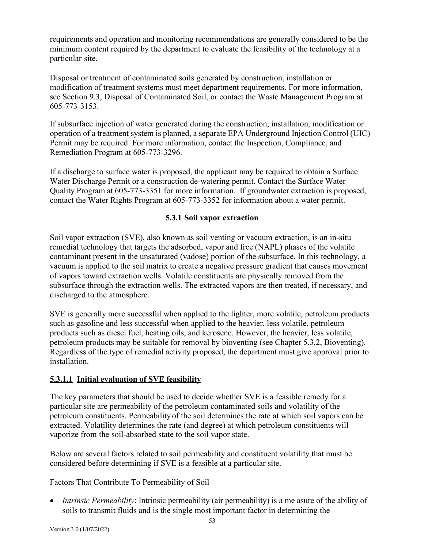requirements and operation and monitoring recommendations are generally considered to be the minimum content required by the department to evaluate the feasibility of the technology at a particular site.

Disposal or treatment of contaminated soils generated by construction, installation or modification of treatment systems must meet department requirements. For more information, see Section 9.3, Disposal of Contaminated Soil, or contact the Waste Management Program at 605-773-3153.

If subsurface injection of water generated during the construction, installation, modification or operation of a treatment system is planned, a separate EPA Underground Injection Control (UIC) Permit may be required. For more information, contact the Inspection, Compliance, and Remediation Program at 605-773-3296.

If a discharge to surface water is proposed, the applicant may be required to obtain a Surface Water Discharge Permit or a construction de-watering permit. Contact the Surface Water Quality Program at 605-773-3351 for more information. If groundwater extraction is proposed, contact the Water Rights Program at 605-773-3352 for information about a water permit.

## **5.3.1 Soil vapor extraction**

Soil vapor extraction (SVE), also known as soil venting or vacuum extraction, is an in-situ remedial technology that targets the adsorbed, vapor and free (NAPL) phases of the volatile contaminant present in the unsaturated (vadose) portion of the subsurface. In this technology, a vacuum is applied to the soil matrix to create a negative pressure gradient that causes movement of vapors toward extraction wells. Volatile constituents are physically removed from the subsurface through the extraction wells. The extracted vapors are then treated, if necessary, and discharged to the atmosphere.

SVE is generally more successful when applied to the lighter, more volatile, petroleum products such as gasoline and less successful when applied to the heavier, less volatile, petroleum products such as diesel fuel, heating oils, and kerosene. However, the heavier, less volatile, petroleum products may be suitable for removal by bioventing (see Chapter 5.3.2, Bioventing). Regardless of the type of remedial activity proposed, the department must give approval prior to installation.

## **5.3.1.1 Initial evaluation of SVE feasibility**

The key parameters that should be used to decide whether SVE is a feasible remedy for a particular site are permeability of the petroleum contaminated soils and volatility of the petroleum constituents. Permeability of the soil determines the rate at which soil vapors can be extracted. Volatility determines the rate (and degree) at which petroleum constituents will vaporize from the soil-absorbed state to the soil vapor state.

Below are several factors related to soil permeability and constituent volatility that must be considered before determining if SVE is a feasible at a particular site.

#### Factors That Contribute To Permeability of Soil

• *Intrinsic Permeability*: Intrinsic permeability (air permeability) is a me asure of the ability of soils to transmit fluids and is the single most important factor in determining the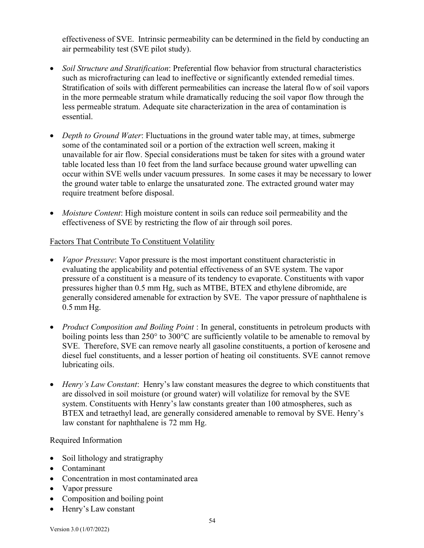effectiveness of SVE. Intrinsic permeability can be determined in the field by conducting an air permeability test (SVE pilot study).

- *Soil Structure and Stratification*: Preferential flow behavior from structural characteristics such as microfracturing can lead to ineffective or significantly extended remedial times. Stratification of soils with different permeabilities can increase the lateral flow of soil vapors in the more permeable stratum while dramatically reducing the soil vapor flow through the less permeable stratum. Adequate site characterization in the area of contamination is essential.
- *Depth to Ground Water*: Fluctuations in the ground water table may, at times, submerge some of the contaminated soil or a portion of the extraction well screen, making it unavailable for air flow. Special considerations must be taken for sites with a ground water table located less than 10 feet from the land surface because ground water upwelling can occur within SVE wells under vacuum pressures. In some cases it may be necessary to lower the ground water table to enlarge the unsaturated zone. The extracted ground water may require treatment before disposal.
- *Moisture Content*: High moisture content in soils can reduce soil permeability and the effectiveness of SVE by restricting the flow of air through soil pores.

## Factors That Contribute To Constituent Volatility

- *Vapor Pressure*: Vapor pressure is the most important constituent characteristic in evaluating the applicability and potential effectiveness of an SVE system. The vapor pressure of a constituent is a measure of its tendency to evaporate. Constituents with vapor pressures higher than 0.5 mm Hg, such as MTBE, BTEX and ethylene dibromide, are generally considered amenable for extraction by SVE. The vapor pressure of naphthalene is 0.5 mm Hg.
- *Product Composition and Boiling Point* : In general, constituents in petroleum products with boiling points less than  $250^{\circ}$  to  $300^{\circ}$ C are sufficiently volatile to be amenable to removal by SVE. Therefore, SVE can remove nearly all gasoline constituents, a portion of kerosene and diesel fuel constituents, and a lesser portion of heating oil constituents. SVE cannot remove lubricating oils.
- *Henry's Law Constant*: Henry's law constant measures the degree to which constituents that are dissolved in soil moisture (or ground water) will volatilize for removal by the SVE system. Constituents with Henry's law constants greater than 100 atmospheres, such as BTEX and tetraethyl lead, are generally considered amenable to removal by SVE. Henry's law constant for naphthalene is 72 mm Hg.

#### Required Information

- Soil lithology and stratigraphy
- Contaminant
- Concentration in most contaminated area
- Vapor pressure
- Composition and boiling point
- Henry's Law constant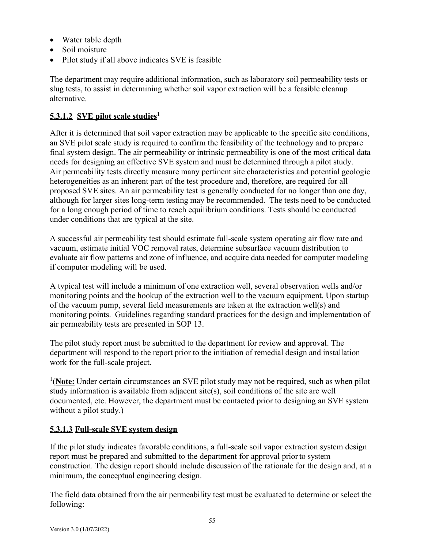- Water table depth
- Soil moisture
- Pilot study if all above indicates SVE is feasible

The department may require additional information, such as laboratory soil permeability tests or slug tests, to assist in determining whether soil vapor extraction will be a feasible cleanup alternative.

# **5.3.1.2 SVE pilot scale studies1**

After it is determined that soil vapor extraction may be applicable to the specific site conditions, an SVE pilot scale study is required to confirm the feasibility of the technology and to prepare final system design. The air permeability or intrinsic permeability is one of the most critical data needs for designing an effective SVE system and must be determined through a pilot study. Air permeability tests directly measure many pertinent site characteristics and potential geologic heterogeneities as an inherent part of the test procedure and, therefore, are required for all proposed SVE sites. An air permeability test is generally conducted for no longer than one day, although for larger sites long-term testing may be recommended. The tests need to be conducted for a long enough period of time to reach equilibrium conditions. Tests should be conducted under conditions that are typical at the site.

A successful air permeability test should estimate full-scale system operating air flow rate and vacuum, estimate initial VOC removal rates, determine subsurface vacuum distribution to evaluate air flow patterns and zone of influence, and acquire data needed for computer modeling if computer modeling will be used.

A typical test will include a minimum of one extraction well, several observation wells and/or monitoring points and the hookup of the extraction well to the vacuum equipment. Upon startup of the vacuum pump, several field measurements are taken at the extraction well(s) and monitoring points. Guidelines regarding standard practices for the design and implementation of air permeability tests are presented in SOP 13.

The pilot study report must be submitted to the department for review and approval. The department will respond to the report prior to the initiation of remedial design and installation work for the full-scale project.

<sup>1</sup>(Note: Under certain circumstances an SVE pilot study may not be required, such as when pilot study information is available from adjacent site(s), soil conditions of the site are well documented, etc. However, the department must be contacted prior to designing an SVE system without a pilot study.)

## **5.3.1.3 Full-scale SVE system design**

If the pilot study indicates favorable conditions, a full-scale soil vapor extraction system design report must be prepared and submitted to the department for approval priorto system construction. The design report should include discussion of the rationale for the design and, at a minimum, the conceptual engineering design.

The field data obtained from the air permeability test must be evaluated to determine or select the following: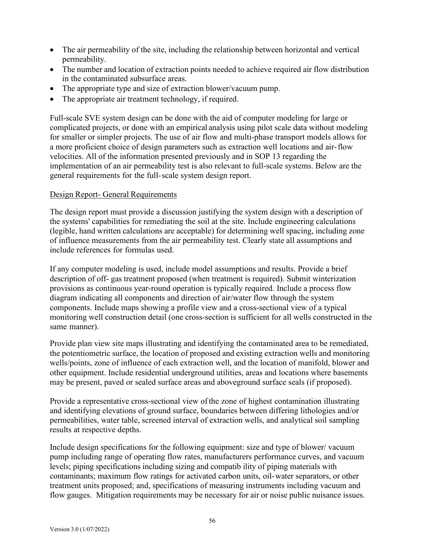- The air permeability of the site, including the relationship between horizontal and vertical permeability.
- The number and location of extraction points needed to achieve required air flow distribution in the contaminated subsurface areas.
- The appropriate type and size of extraction blower/vacuum pump.
- The appropriate air treatment technology, if required.

Full-scale SVE system design can be done with the aid of computer modeling for large or complicated projects, or done with an empirical analysis using pilot scale data without modeling for smaller or simpler projects. The use of air flow and multi-phase transport models allows for a more proficient choice of design parameters such as extraction well locations and air-flow velocities. All of the information presented previously and in SOP 13 regarding the implementation of an air permeability test is also relevant to full-scale systems. Below are the general requirements for the full-scale system design report.

## Design Report- General Requirements

The design report must provide a discussion justifying the system design with a description of the systems' capabilities for remediating the soil at the site. Include engineering calculations (legible, hand written calculations are acceptable) for determining well spacing, including zone of influence measurements from the air permeability test. Clearly state all assumptions and include references for formulas used.

If any computer modeling is used, include model assumptions and results. Provide a brief description of off- gas treatment proposed (when treatment is required). Submit winterization provisions as continuous year-round operation is typically required. Include a process flow diagram indicating all components and direction of air/water flow through the system components. Include maps showing a profile view and a cross-sectional view of a typical monitoring well construction detail (one cross-section is sufficient for all wells constructed in the same manner).

Provide plan view site maps illustrating and identifying the contaminated area to be remediated, the potentiometric surface, the location of proposed and existing extraction wells and monitoring wells/points, zone of influence of each extraction well, and the location of manifold, blower and other equipment. Include residential underground utilities, areas and locations where basements may be present, paved or sealed surface areas and aboveground surface seals (if proposed).

Provide a representative cross-sectional view ofthe zone of highest contamination illustrating and identifying elevations of ground surface, boundaries between differing lithologies and/or permeabilities, water table, screened interval of extraction wells, and analytical soil sampling results at respective depths.

Include design specifications for the following equipment: size and type of blower/ vacuum pump including range of operating flow rates, manufacturers performance curves, and vacuum levels; piping specifications including sizing and compatib ility of piping materials with contaminants; maximum flow ratings for activated carbon units, oil-water separators, or other treatment units proposed; and, specifications of measuring instruments including vacuum and flow gauges. Mitigation requirements may be necessary for air or noise public nuisance issues.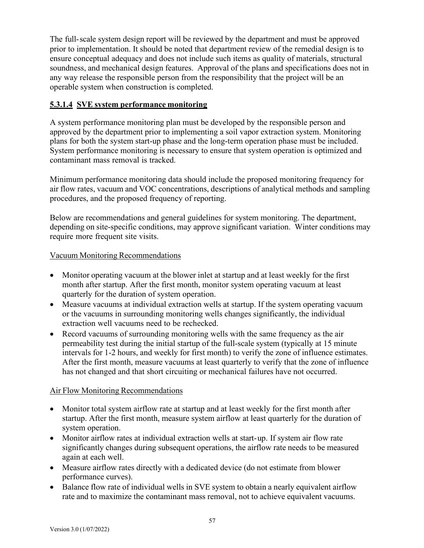The full-scale system design report will be reviewed by the department and must be approved prior to implementation. It should be noted that department review of the remedial design is to ensure conceptual adequacy and does not include such items as quality of materials, structural soundness, and mechanical design features. Approval of the plans and specifications does not in any way release the responsible person from the responsibility that the project will be an operable system when construction is completed.

# **5.3.1.4 SVE system performance monitoring**

A system performance monitoring plan must be developed by the responsible person and approved by the department prior to implementing a soil vapor extraction system. Monitoring plans for both the system start-up phase and the long-term operation phase must be included. System performance monitoring is necessary to ensure that system operation is optimized and contaminant mass removal is tracked.

Minimum performance monitoring data should include the proposed monitoring frequency for air flow rates, vacuum and VOC concentrations, descriptions of analytical methods and sampling procedures, and the proposed frequency of reporting.

Below are recommendations and general guidelines for system monitoring. The department, depending on site-specific conditions, may approve significant variation. Winter conditions may require more frequent site visits.

# Vacuum Monitoring Recommendations

- Monitor operating vacuum at the blower inlet at startup and at least weekly for the first month after startup. After the first month, monitor system operating vacuum at least quarterly for the duration of system operation.
- Measure vacuums at individual extraction wells at startup. If the system operating vacuum or the vacuums in surrounding monitoring wells changes significantly, the individual extraction well vacuums need to be rechecked.
- Record vacuums of surrounding monitoring wells with the same frequency as the air permeability test during the initial startup of the full-scale system (typically at 15 minute intervals for 1-2 hours, and weekly for first month) to verify the zone of influence estimates. After the first month, measure vacuums at least quarterly to verify that the zone of influence has not changed and that short circuiting or mechanical failures have not occurred.

# Air Flow Monitoring Recommendations

- Monitor total system airflow rate at startup and at least weekly for the first month after startup. After the first month, measure system airflow at least quarterly for the duration of system operation.
- Monitor airflow rates at individual extraction wells at start-up. If system air flow rate significantly changes during subsequent operations, the airflow rate needs to be measured again at each well.
- Measure airflow rates directly with a dedicated device (do not estimate from blower performance curves).
- Balance flow rate of individual wells in SVE system to obtain a nearly equivalent airflow rate and to maximize the contaminant mass removal, not to achieve equivalent vacuums.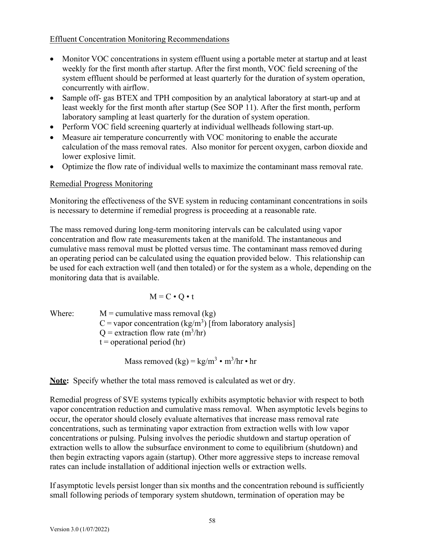#### Effluent Concentration Monitoring Recommendations

- Monitor VOC concentrations in system effluent using a portable meter at startup and at least weekly for the first month after startup. After the first month, VOC field screening of the system effluent should be performed at least quarterly for the duration of system operation, concurrently with airflow.
- Sample off- gas BTEX and TPH composition by an analytical laboratory at start-up and at least weekly for the first month after startup (See SOP 11). After the first month, perform laboratory sampling at least quarterly for the duration of system operation.
- Perform VOC field screening quarterly at individual wellheads following start-up.
- Measure air temperature concurrently with VOC monitoring to enable the accurate calculation of the mass removal rates. Also monitor for percent oxygen, carbon dioxide and lower explosive limit.
- Optimize the flow rate of individual wells to maximize the contaminant mass removal rate.

## Remedial Progress Monitoring

Monitoring the effectiveness of the SVE system in reducing contaminant concentrations in soils is necessary to determine if remedial progress is proceeding at a reasonable rate.

The mass removed during long-term monitoring intervals can be calculated using vapor concentration and flow rate measurements taken at the manifold. The instantaneous and cumulative mass removal must be plotted versus time. The contaminant mass removed during an operating period can be calculated using the equation provided below. This relationship can be used for each extraction well (and then totaled) or for the system as a whole, depending on the monitoring data that is available.

$$
M = C \bullet Q \bullet t
$$

Where:  $M =$  cumulative mass removal (kg) C = vapor concentration (kg/m<sup>3</sup>) [from laboratory analysis]  $Q =$  extraction flow rate  $(m^3/hr)$  $t =$  operational period (hr)

Mass removed  $(kg) = kg/m^3 \cdot m^3/hr \cdot hr$ 

**Note:** Specify whether the total mass removed is calculated as wet or dry.

Remedial progress of SVE systems typically exhibits asymptotic behavior with respect to both vapor concentration reduction and cumulative mass removal. When asymptotic levels begins to occur, the operator should closely evaluate alternatives that increase mass removal rate concentrations, such as terminating vapor extraction from extraction wells with low vapor concentrations or pulsing. Pulsing involves the periodic shutdown and startup operation of extraction wells to allow the subsurface environment to come to equilibrium (shutdown) and then begin extracting vapors again (startup). Other more aggressive steps to increase removal rates can include installation of additional injection wells or extraction wells.

If asymptotic levels persist longer than six months and the concentration rebound is sufficiently small following periods of temporary system shutdown, termination of operation may be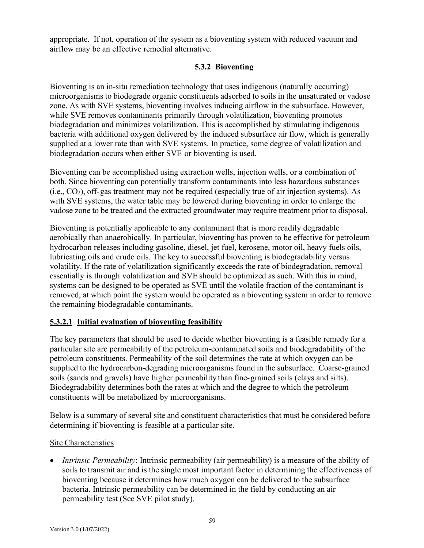appropriate. If not, operation of the system as a bioventing system with reduced vacuum and airflow may be an effective remedial alternative.

## **5.3.2 Bioventing**

Bioventing is an in-situ remediation technology that uses indigenous (naturally occurring) microorganisms to biodegrade organic constituents adsorbed to soils in the unsaturated or vadose zone. As with SVE systems, bioventing involves inducing airflow in the subsurface. However, while SVE removes contaminants primarily through volatilization, bioventing promotes biodegradation and minimizes volatilization. This is accomplished by stimulating indigenous bacteria with additional oxygen delivered by the induced subsurface air flow, which is generally supplied at a lower rate than with SVE systems. In practice, some degree of volatilization and biodegradation occurs when either SVE or bioventing is used.

Bioventing can be accomplished using extraction wells, injection wells, or a combination of both. Since bioventing can potentially transform contaminants into less hazardous substances  $(i.e., CO<sub>2</sub>)$ , off-gas treatment may not be required (especially true of air injection systems). As with SVE systems, the water table may be lowered during bioventing in order to enlarge the vadose zone to be treated and the extracted groundwater may require treatment prior to disposal.

Bioventing is potentially applicable to any contaminant that is more readily degradable aerobically than anaerobically. In particular, bioventing has proven to be effective for petroleum hydrocarbon releases including gasoline, diesel, jet fuel, kerosene, motor oil, heavy fuels oils, lubricating oils and crude oils. The key to successful bioventing is biodegradability versus volatility. If the rate of volatilization significantly exceeds the rate of biodegradation, removal essentially is through volatilization and SVE should be optimized as such. With this in mind, systems can be designed to be operated as SVE until the volatile fraction of the contaminant is removed, at which point the system would be operated as a bioventing system in order to remove the remaining biodegradable contaminants.

# **5.3.2.1 Initial evaluation of bioventing feasibility**

The key parameters that should be used to decide whether bioventing is a feasible remedy for a particular site are permeability of the petroleum-contaminated soils and biodegradability of the petroleum constituents. Permeability of the soil determines the rate at which oxygen can be supplied to the hydrocarbon-degrading microorganisms found in the subsurface. Coarse-grained soils (sands and gravels) have higher permeability than fine-grained soils (clays and silts). Biodegradability determines both the rates at which and the degree to which the petroleum constituents will be metabolized by microorganisms.

Below is a summary of several site and constituent characteristics that must be considered before determining if bioventing is feasible at a particular site.

## Site Characteristics

• *Intrinsic Permeability*: Intrinsic permeability (air permeability) is a measure of the ability of soils to transmit air and is the single most important factor in determining the effectiveness of bioventing because it determines how much oxygen can be delivered to the subsurface bacteria. Intrinsic permeability can be determined in the field by conducting an air permeability test (See SVE pilot study).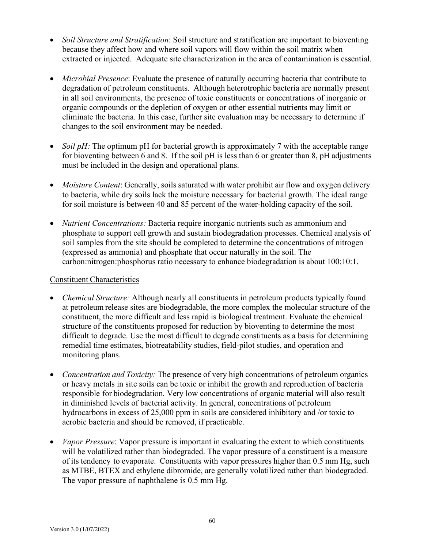- *Soil Structure and Stratification*: Soil structure and stratification are important to bioventing because they affect how and where soil vapors will flow within the soil matrix when extracted or injected. Adequate site characterization in the area of contamination is essential.
- *Microbial Presence*: Evaluate the presence of naturally occurring bacteria that contribute to degradation of petroleum constituents. Although heterotrophic bacteria are normally present in all soil environments, the presence of toxic constituents or concentrations of inorganic or organic compounds or the depletion of oxygen or other essential nutrients may limit or eliminate the bacteria. In this case, further site evaluation may be necessary to determine if changes to the soil environment may be needed.
- *Soil pH*: The optimum pH for bacterial growth is approximately 7 with the acceptable range for bioventing between 6 and 8. If the soil pH is less than 6 or greater than 8, pH adjustments must be included in the design and operational plans.
- *Moisture Content*: Generally, soils saturated with water prohibit air flow and oxygen delivery to bacteria, while dry soils lack the moisture necessary for bacterial growth. The ideal range for soil moisture is between 40 and 85 percent of the water-holding capacity of the soil.
- *Nutrient Concentrations:* Bacteria require inorganic nutrients such as ammonium and phosphate to support cell growth and sustain biodegradation processes. Chemical analysis of soil samples from the site should be completed to determine the concentrations of nitrogen (expressed as ammonia) and phosphate that occur naturally in the soil. The carbon:nitrogen:phosphorus ratio necessary to enhance biodegradation is about 100:10:1.

## Constituent Characteristics

- *Chemical Structure:* Although nearly all constituents in petroleum products typically found at petroleum release sites are biodegradable, the more complex the molecular structure of the constituent, the more difficult and less rapid is biological treatment. Evaluate the chemical structure of the constituents proposed for reduction by bioventing to determine the most difficult to degrade. Use the most difficult to degrade constituents as a basis for determining remedial time estimates, biotreatability studies, field-pilot studies, and operation and monitoring plans.
- *Concentration and Toxicity:* The presence of very high concentrations of petroleum organics or heavy metals in site soils can be toxic or inhibit the growth and reproduction of bacteria responsible for biodegradation. Very low concentrations of organic material will also result in diminished levels of bacterial activity. In general, concentrations of petroleum hydrocarbons in excess of 25,000 ppm in soils are considered inhibitory and /or toxic to aerobic bacteria and should be removed, if practicable.
- *Vapor Pressure*: Vapor pressure is important in evaluating the extent to which constituents will be volatilized rather than biodegraded. The vapor pressure of a constituent is a measure of its tendency to evaporate. Constituents with vapor pressures higher than 0.5 mm Hg, such as MTBE, BTEX and ethylene dibromide, are generally volatilized rather than biodegraded. The vapor pressure of naphthalene is 0.5 mm Hg.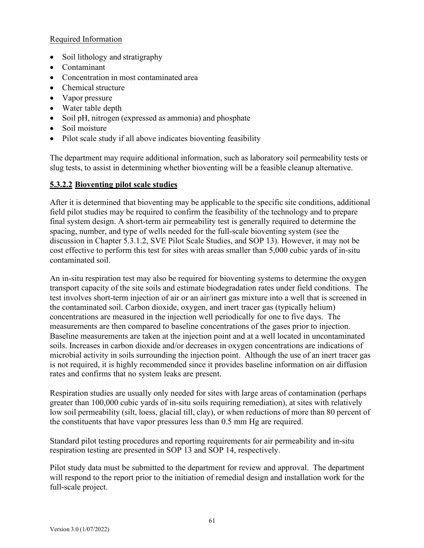## Required Information

- Soil lithology and stratigraphy
- Contaminant
- Concentration in most contaminated area
- Chemical structure
- Vapor pressure
- Water table depth
- Soil pH, nitrogen (expressed as ammonia) and phosphate
- Soil moisture
- Pilot scale study if all above indicates bioventing feasibility

The department may require additional information, such as laboratory soil permeability tests or slug tests, to assist in determining whether bioventing will be a feasible cleanup alternative.

## **5.3.2.2 Bioventing pilot scale studies**

After it is determined that bioventing may be applicable to the specific site conditions, additional field pilot studies may be required to confirm the feasibility of the technology and to prepare final system design. A short-term air permeability test is generally required to determine the spacing, number, and type of wells needed for the full-scale bioventing system (see the discussion in Chapter 5.3.1.2, SVE Pilot Scale Studies, and SOP 13). However, it may not be cost effective to perform this test for sites with areas smaller than 5,000 cubic yards of in-situ contaminated soil.

An in-situ respiration test may also be required for bioventing systems to determine the oxygen transport capacity of the site soils and estimate biodegradation rates under field conditions. The test involves short-term injection of air or an air/inert gas mixture into a well that is screened in the contaminated soil. Carbon dioxide, oxygen, and inert tracer gas (typically helium) concentrations are measured in the injection well periodically for one to five days. The measurements are then compared to baseline concentrations of the gases prior to injection. Baseline measurements are taken at the injection point and at a well located in uncontaminated soils. Increases in carbon dioxide and/or decreases in oxygen concentrations are indications of microbial activity in soils surrounding the injection point. Although the use of an inert tracer gas is not required, it is highly recommended since it provides baseline information on air diffusion rates and confirms that no system leaks are present.

Respiration studies are usually only needed for sites with large areas of contamination (perhaps greater than 100,000 cubic yards of in-situ soils requiring remediation), at sites with relatively low soil permeability (silt, loess, glacial till, clay), or when reductions of more than 80 percent of the constituents that have vapor pressures less than 0.5 mm Hg are required.

Standard pilot testing procedures and reporting requirements for air permeability and in-situ respiration testing are presented in SOP 13 and SOP 14, respectively.

Pilot study data must be submitted to the department for review and approval. The department will respond to the report prior to the initiation of remedial design and installation work for the full-scale project.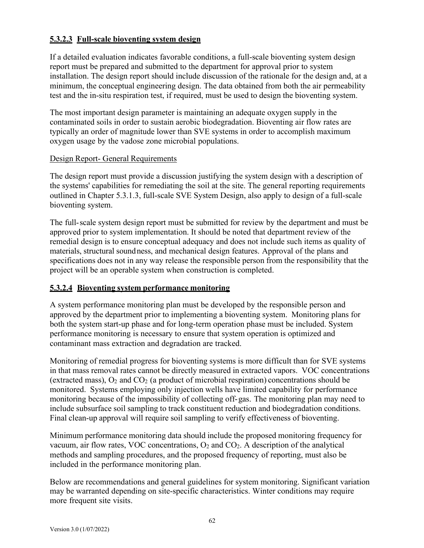## **5.3.2.3 Full-scale bioventing system design**

If a detailed evaluation indicates favorable conditions, a full-scale bioventing system design report must be prepared and submitted to the department for approval prior to system installation. The design report should include discussion of the rationale for the design and, at a minimum, the conceptual engineering design. The data obtained from both the air permeability test and the in-situ respiration test, if required, must be used to design the bioventing system.

The most important design parameter is maintaining an adequate oxygen supply in the contaminated soils in order to sustain aerobic biodegradation. Bioventing air flow rates are typically an order of magnitude lower than SVE systems in order to accomplish maximum oxygen usage by the vadose zone microbial populations.

## Design Report- General Requirements

The design report must provide a discussion justifying the system design with a description of the systems' capabilities for remediating the soil at the site. The general reporting requirements outlined in Chapter 5.3.1.3, full-scale SVE System Design, also apply to design of a full-scale bioventing system.

The full-scale system design report must be submitted for review by the department and must be approved prior to system implementation. It should be noted that department review of the remedial design is to ensure conceptual adequacy and does not include such items as quality of materials, structural soundness, and mechanical design features. Approval of the plans and specifications does not in any way release the responsible person from the responsibility that the project will be an operable system when construction is completed.

## **5.3.2.4 Bioventing system performance monitoring**

A system performance monitoring plan must be developed by the responsible person and approved by the department prior to implementing a bioventing system. Monitoring plans for both the system start-up phase and for long-term operation phase must be included. System performance monitoring is necessary to ensure that system operation is optimized and contaminant mass extraction and degradation are tracked.

Monitoring of remedial progress for bioventing systems is more difficult than for SVE systems in that mass removal rates cannot be directly measured in extracted vapors. VOC concentrations (extracted mass),  $O_2$  and  $CO_2$  (a product of microbial respiration) concentrations should be monitored. Systems employing only injection wells have limited capability for performance monitoring because of the impossibility of collecting off-gas. The monitoring plan may need to include subsurface soil sampling to track constituent reduction and biodegradation conditions. Final clean-up approval will require soil sampling to verify effectiveness of bioventing.

Minimum performance monitoring data should include the proposed monitoring frequency for vacuum, air flow rates, VOC concentrations,  $O_2$  and  $CO_2$ . A description of the analytical methods and sampling procedures, and the proposed frequency of reporting, must also be included in the performance monitoring plan.

Below are recommendations and general guidelines for system monitoring. Significant variation may be warranted depending on site-specific characteristics. Winter conditions may require more frequent site visits.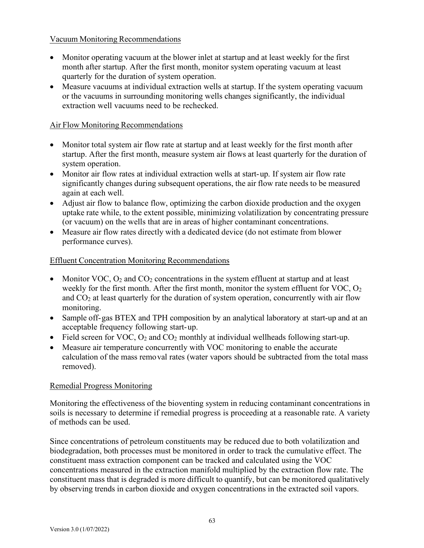## Vacuum Monitoring Recommendations

- Monitor operating vacuum at the blower inlet at startup and at least weekly for the first month after startup. After the first month, monitor system operating vacuum at least quarterly for the duration of system operation.
- Measure vacuums at individual extraction wells at startup. If the system operating vacuum or the vacuums in surrounding monitoring wells changes significantly, the individual extraction well vacuums need to be rechecked.

## Air Flow Monitoring Recommendations

- Monitor total system air flow rate at startup and at least weekly for the first month after startup. After the first month, measure system air flows at least quarterly for the duration of system operation.
- Monitor air flow rates at individual extraction wells at start-up. If system air flow rate significantly changes during subsequent operations, the air flow rate needs to be measured again at each well.
- Adjust air flow to balance flow, optimizing the carbon dioxide production and the oxygen uptake rate while, to the extent possible, minimizing volatilization by concentrating pressure (or vacuum) on the wells that are in areas of higher contaminant concentrations.
- Measure air flow rates directly with a dedicated device (do not estimate from blower performance curves).

## Effluent Concentration Monitoring Recommendations

- Monitor VOC,  $O_2$  and  $CO_2$  concentrations in the system effluent at startup and at least weekly for the first month. After the first month, monitor the system effluent for  $VOC$ ,  $O<sub>2</sub>$ and  $CO<sub>2</sub>$  at least quarterly for the duration of system operation, concurrently with air flow monitoring.
- Sample off-gas BTEX and TPH composition by an analytical laboratory at start-up and at an acceptable frequency following start-up.
- Field screen for VOC,  $O_2$  and  $CO_2$  monthly at individual wellheads following start-up.
- Measure air temperature concurrently with VOC monitoring to enable the accurate calculation of the mass removal rates (water vapors should be subtracted from the total mass removed).

#### Remedial Progress Monitoring

Monitoring the effectiveness of the bioventing system in reducing contaminant concentrations in soils is necessary to determine if remedial progress is proceeding at a reasonable rate. A variety of methods can be used.

Since concentrations of petroleum constituents may be reduced due to both volatilization and biodegradation, both processes must be monitored in order to track the cumulative effect. The constituent mass extraction component can be tracked and calculated using the VOC concentrations measured in the extraction manifold multiplied by the extraction flow rate. The constituent mass that is degraded is more difficult to quantify, but can be monitored qualitatively by observing trends in carbon dioxide and oxygen concentrations in the extracted soil vapors.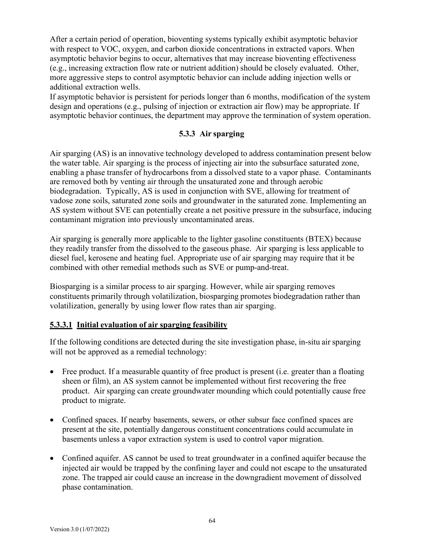After a certain period of operation, bioventing systems typically exhibit asymptotic behavior with respect to VOC, oxygen, and carbon dioxide concentrations in extracted vapors. When asymptotic behavior begins to occur, alternatives that may increase bioventing effectiveness (e.g., increasing extraction flow rate or nutrient addition) should be closely evaluated. Other, more aggressive steps to control asymptotic behavior can include adding injection wells or additional extraction wells.

If asymptotic behavior is persistent for periods longer than 6 months, modification of the system design and operations (e.g., pulsing of injection or extraction air flow) may be appropriate. If asymptotic behavior continues, the department may approve the termination of system operation.

## **5.3.3 Air sparging**

Air sparging (AS) is an innovative technology developed to address contamination present below the water table. Air sparging is the process of injecting air into the subsurface saturated zone, enabling a phase transfer of hydrocarbons from a dissolved state to a vapor phase. Contaminants are removed both by venting air through the unsaturated zone and through aerobic biodegradation. Typically, AS is used in conjunction with SVE, allowing for treatment of vadose zone soils, saturated zone soils and groundwater in the saturated zone. Implementing an AS system without SVE can potentially create a net positive pressure in the subsurface, inducing contaminant migration into previously uncontaminated areas.

Air sparging is generally more applicable to the lighter gasoline constituents (BTEX) because they readily transfer from the dissolved to the gaseous phase. Air sparging is less applicable to diesel fuel, kerosene and heating fuel. Appropriate use of air sparging may require that it be combined with other remedial methods such as SVE or pump-and-treat.

Biosparging is a similar process to air sparging. However, while air sparging removes constituents primarily through volatilization, biosparging promotes biodegradation rather than volatilization, generally by using lower flow rates than air sparging.

## **5.3.3.1 Initial evaluation of air sparging feasibility**

If the following conditions are detected during the site investigation phase, in-situ air sparging will not be approved as a remedial technology:

- Free product. If a measurable quantity of free product is present (i.e. greater than a floating sheen or film), an AS system cannot be implemented without first recovering the free product. Air sparging can create groundwater mounding which could potentially cause free product to migrate.
- Confined spaces. If nearby basements, sewers, or other subsur face confined spaces are present at the site, potentially dangerous constituent concentrations could accumulate in basements unless a vapor extraction system is used to control vapor migration.
- Confined aquifer. AS cannot be used to treat groundwater in a confined aquifer because the injected air would be trapped by the confining layer and could not escape to the unsaturated zone. The trapped air could cause an increase in the downgradient movement of dissolved phase contamination.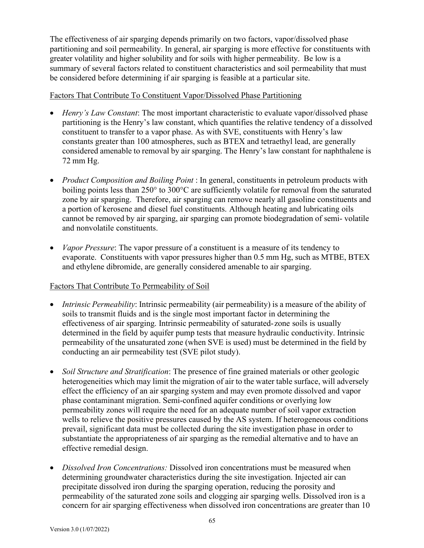The effectiveness of air sparging depends primarily on two factors, vapor/dissolved phase partitioning and soil permeability. In general, air sparging is more effective for constituents with greater volatility and higher solubility and for soils with higher permeability. Be low is a summary of several factors related to constituent characteristics and soil permeability that must be considered before determining if air sparging is feasible at a particular site.

#### Factors That Contribute To Constituent Vapor/Dissolved Phase Partitioning

- *Henry's Law Constant*: The most important characteristic to evaluate vapor/dissolved phase partitioning is the Henry's law constant, which quantifies the relative tendency of a dissolved constituent to transfer to a vapor phase. As with SVE, constituents with Henry's law constants greater than 100 atmospheres, such as BTEX and tetraethyl lead, are generally considered amenable to removal by air sparging. The Henry's law constant for naphthalene is 72 mm Hg.
- *Product Composition and Boiling Point* : In general, constituents in petroleum products with boiling points less than 250° to 300°C are sufficiently volatile for removal from the saturated zone by air sparging. Therefore, air sparging can remove nearly all gasoline constituents and a portion of kerosene and diesel fuel constituents. Although heating and lubricating oils cannot be removed by air sparging, air sparging can promote biodegradation of semi- volatile and nonvolatile constituents.
- *Vapor Pressure*: The vapor pressure of a constituent is a measure of its tendency to evaporate. Constituents with vapor pressures higher than 0.5 mm Hg, such as MTBE, BTEX and ethylene dibromide, are generally considered amenable to air sparging.

## Factors That Contribute To Permeability of Soil

- *Intrinsic Permeability*: Intrinsic permeability (air permeability) is a measure of the ability of soils to transmit fluids and is the single most important factor in determining the effectiveness of air sparging. Intrinsic permeability of saturated-zone soils is usually determined in the field by aquifer pump tests that measure hydraulic conductivity. Intrinsic permeability of the unsaturated zone (when SVE is used) must be determined in the field by conducting an air permeability test (SVE pilot study).
- *Soil Structure and Stratification*: The presence of fine grained materials or other geologic heterogeneities which may limit the migration of air to the water table surface, will adversely effect the efficiency of an air sparging system and may even promote dissolved and vapor phase contaminant migration. Semi-confined aquifer conditions or overlying low permeability zones will require the need for an adequate number of soil vapor extraction wells to relieve the positive pressures caused by the AS system. If heterogeneous conditions prevail, significant data must be collected during the site investigation phase in order to substantiate the appropriateness of air sparging as the remedial alternative and to have an effective remedial design.
- *Dissolved Iron Concentrations:* Dissolved iron concentrations must be measured when determining groundwater characteristics during the site investigation. Injected air can precipitate dissolved iron during the sparging operation, reducing the porosity and permeability of the saturated zone soils and clogging air sparging wells. Dissolved iron is a concern for air sparging effectiveness when dissolved iron concentrations are greater than 10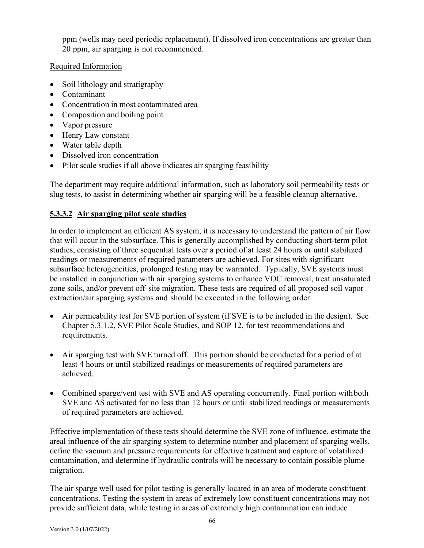ppm (wells may need periodic replacement). If dissolved iron concentrations are greater than 20 ppm, air sparging is not recommended.

## Required Information

- Soil lithology and stratigraphy
- Contaminant
- Concentration in most contaminated area
- Composition and boiling point
- Vapor pressure
- Henry Law constant
- Water table depth
- Dissolved iron concentration
- Pilot scale studies if all above indicates air sparging feasibility

The department may require additional information, such as laboratory soil permeability tests or slug tests, to assist in determining whether air sparging will be a feasible cleanup alternative.

# **5.3.3.2 Air sparging pilot scale studies**

In order to implement an efficient AS system, it is necessary to understand the pattern of air flow that will occur in the subsurface. This is generally accomplished by conducting short-term pilot studies, consisting of three sequential tests over a period of at least 24 hours or until stabilized readings or measurements of required parameters are achieved. For sites with significant subsurface heterogeneities, prolonged testing may be warranted. Typically, SVE systems must be installed in conjunction with air sparging systems to enhance VOC removal, treat unsaturated zone soils, and/or prevent off-site migration. These tests are required of all proposed soil vapor extraction/air sparging systems and should be executed in the following order:

- Air permeability test for SVE portion of system (if SVE is to be included in the design). See Chapter 5.3.1.2, SVE Pilot Scale Studies, and SOP 12, for test recommendations and requirements.
- Air sparging test with SVE turned off. This portion should be conducted for a period of at least 4 hours or until stabilized readings or measurements of required parameters are achieved.
- Combined sparge/vent test with SVE and AS operating concurrently. Final portion with both SVE and AS activated for no less than 12 hours or until stabilized readings or measurements of required parameters are achieved.

Effective implementation of these tests should determine the SVE zone of influence, estimate the areal influence of the air sparging system to determine number and placement of sparging wells, define the vacuum and pressure requirements for effective treatment and capture of volatilized contamination, and determine if hydraulic controls will be necessary to contain possible plume migration.

The air sparge well used for pilot testing is generally located in an area of moderate constituent concentrations. Testing the system in areas of extremely low constituent concentrations may not provide sufficient data, while testing in areas of extremely high contamination can induce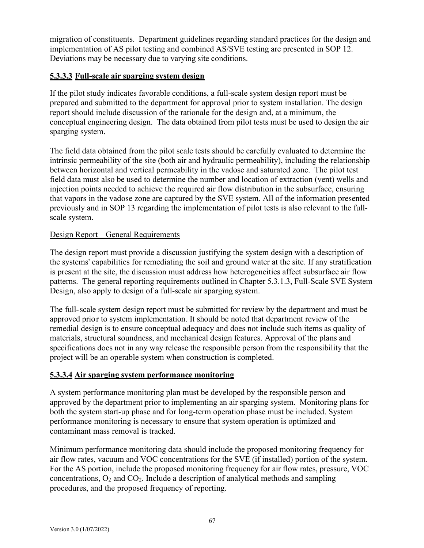migration of constituents. Department guidelines regarding standard practices for the design and implementation of AS pilot testing and combined AS/SVE testing are presented in SOP 12. Deviations may be necessary due to varying site conditions.

## **5.3.3.3 Full-scale air sparging system design**

If the pilot study indicates favorable conditions, a full-scale system design report must be prepared and submitted to the department for approval prior to system installation. The design report should include discussion of the rationale for the design and, at a minimum, the conceptual engineering design. The data obtained from pilot tests must be used to design the air sparging system.

The field data obtained from the pilot scale tests should be carefully evaluated to determine the intrinsic permeability of the site (both air and hydraulic permeability), including the relationship between horizontal and vertical permeability in the vadose and saturated zone. The pilot test field data must also be used to determine the number and location of extraction (vent) wells and injection points needed to achieve the required air flow distribution in the subsurface, ensuring that vapors in the vadose zone are captured by the SVE system. All of the information presented previously and in SOP 13 regarding the implementation of pilot tests is also relevant to the fullscale system.

## Design Report – General Requirements

The design report must provide a discussion justifying the system design with a description of the systems' capabilities for remediating the soil and ground water at the site. If any stratification is present at the site, the discussion must address how heterogeneities affect subsurface air flow patterns. The general reporting requirements outlined in Chapter 5.3.1.3, Full-Scale SVE System Design, also apply to design of a full-scale air sparging system.

The full-scale system design report must be submitted for review by the department and must be approved prior to system implementation. It should be noted that department review of the remedial design is to ensure conceptual adequacy and does not include such items as quality of materials, structural soundness, and mechanical design features. Approval of the plans and specifications does not in any way release the responsible person from the responsibility that the project will be an operable system when construction is completed.

# **5.3.3.4 Air sparging system performance monitoring**

A system performance monitoring plan must be developed by the responsible person and approved by the department prior to implementing an air sparging system. Monitoring plans for both the system start-up phase and for long-term operation phase must be included. System performance monitoring is necessary to ensure that system operation is optimized and contaminant mass removal is tracked.

Minimum performance monitoring data should include the proposed monitoring frequency for air flow rates, vacuum and VOC concentrations for the SVE (if installed) portion of the system. For the AS portion, include the proposed monitoring frequency for air flow rates, pressure, VOC concentrations,  $O_2$  and  $CO_2$ . Include a description of analytical methods and sampling procedures, and the proposed frequency of reporting.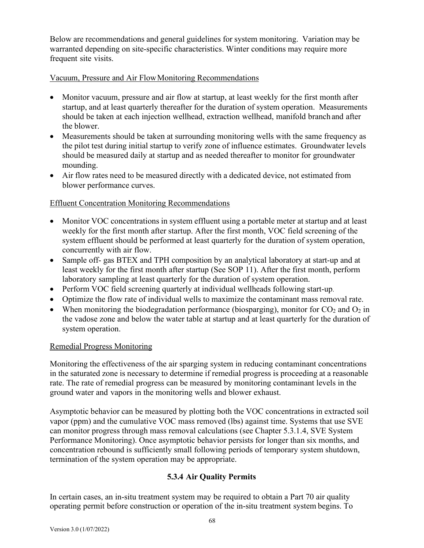Below are recommendations and general guidelines for system monitoring. Variation may be warranted depending on site-specific characteristics. Winter conditions may require more frequent site visits.

## Vacuum, Pressure and Air FlowMonitoring Recommendations

- Monitor vacuum, pressure and air flow at startup, at least weekly for the first month after startup, and at least quarterly thereafter for the duration of system operation. Measurements should be taken at each injection wellhead, extraction wellhead, manifold branchand after the blower.
- Measurements should be taken at surrounding monitoring wells with the same frequency as the pilot test during initial startup to verify zone of influence estimates. Groundwater levels should be measured daily at startup and as needed thereafter to monitor for groundwater mounding.
- Air flow rates need to be measured directly with a dedicated device, not estimated from blower performance curves.

## Effluent Concentration Monitoring Recommendations

- Monitor VOC concentrations in system effluent using a portable meter at startup and at least weekly for the first month after startup. After the first month, VOC field screening of the system effluent should be performed at least quarterly for the duration of system operation, concurrently with air flow.
- Sample off- gas BTEX and TPH composition by an analytical laboratory at start-up and at least weekly for the first month after startup (See SOP 11). After the first month, perform laboratory sampling at least quarterly for the duration of system operation.
- Perform VOC field screening quarterly at individual wellheads following start-up.
- Optimize the flow rate of individual wells to maximize the contaminant mass removal rate.
- When monitoring the biodegradation performance (biosparging), monitor for  $CO<sub>2</sub>$  and  $O<sub>2</sub>$  in the vadose zone and below the water table at startup and at least quarterly for the duration of system operation.

#### Remedial Progress Monitoring

Monitoring the effectiveness of the air sparging system in reducing contaminant concentrations in the saturated zone is necessary to determine if remedial progress is proceeding at a reasonable rate. The rate of remedial progress can be measured by monitoring contaminant levels in the ground water and vapors in the monitoring wells and blower exhaust.

Asymptotic behavior can be measured by plotting both the VOC concentrations in extracted soil vapor (ppm) and the cumulative VOC mass removed (lbs) against time. Systems that use SVE can monitor progress through mass removal calculations (see Chapter 5.3.1.4, SVE System Performance Monitoring). Once asymptotic behavior persists for longer than six months, and concentration rebound is sufficiently small following periods of temporary system shutdown, termination of the system operation may be appropriate.

## **5.3.4 Air Quality Permits**

In certain cases, an in-situ treatment system may be required to obtain a Part 70 air quality operating permit before construction or operation of the in-situ treatment system begins. To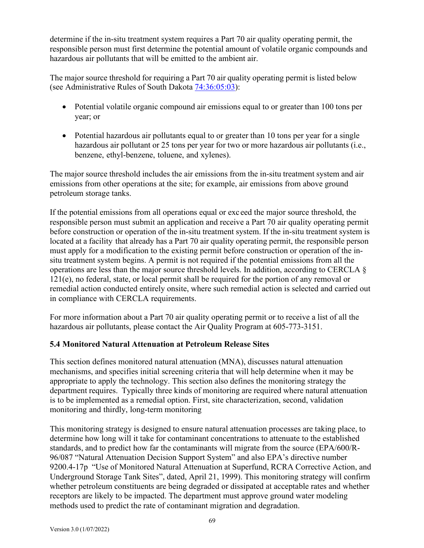determine if the in-situ treatment system requires a Part 70 air quality operating permit, the responsible person must first determine the potential amount of volatile organic compounds and hazardous air pollutants that will be emitted to the ambient air.

The major source threshold for requiring a Part 70 air quality operating permit is listed below (see Administrative Rules of South Dakota 74:36:05:03):

- Potential volatile organic compound air emissions equal to or greater than 100 tons per year; or
- Potential hazardous air pollutants equal to or greater than 10 tons per year for a single hazardous air pollutant or 25 tons per year for two or more hazardous air pollutants (i.e., benzene, ethyl-benzene, toluene, and xylenes).

The major source threshold includes the air emissions from the in-situ treatment system and air emissions from other operations at the site; for example, air emissions from above ground petroleum storage tanks.

If the potential emissions from all operations equal or exc eed the major source threshold, the responsible person must submit an application and receive a Part 70 air quality operating permit before construction or operation of the in-situ treatment system. If the in-situ treatment system is located at a facility that already has a Part 70 air quality operating permit, the responsible person must apply for a modification to the existing permit before construction or operation of the insitu treatment system begins. A permit is not required if the potential emissions from all the operations are less than the major source threshold levels. In addition, according to CERCLA § 121(e), no federal, state, or local permit shall be required for the portion of any removal or remedial action conducted entirely onsite, where such remedial action is selected and carried out in compliance with CERCLA requirements.

For more information about a Part 70 air quality operating permit or to receive a list of all the hazardous air pollutants, please contact the Air Quality Program at 605-773-3151.

## **5.4 Monitored Natural Attenuation at Petroleum Release Sites**

This section defines monitored natural attenuation (MNA), discusses natural attenuation mechanisms, and specifies initial screening criteria that will help determine when it may be appropriate to apply the technology. This section also defines the monitoring strategy the department requires. Typically three kinds of monitoring are required where natural attenuation is to be implemented as a remedial option. First, site characterization, second, validation monitoring and thirdly, long-term monitoring

This monitoring strategy is designed to ensure natural attenuation processes are taking place, to determine how long will it take for contaminant concentrations to attenuate to the established standards, and to predict how far the contaminants will migrate from the source (EPA/600/R-96/087 "Natural Attenuation Decision Support System" and also EPA's directive number 9200.4-17p "Use of Monitored Natural Attenuation at Superfund, RCRA Corrective Action, and Underground Storage Tank Sites", dated, April 21, 1999). This monitoring strategy will confirm whether petroleum constituents are being degraded or dissipated at acceptable rates and whether receptors are likely to be impacted. The department must approve ground water modeling methods used to predict the rate of contaminant migration and degradation.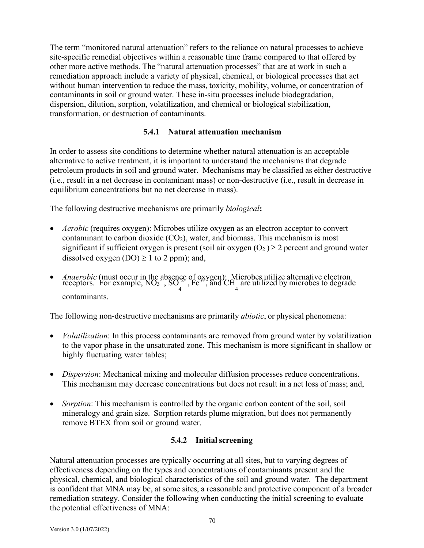The term "monitored natural attenuation" refers to the reliance on natural processes to achieve site-specific remedial objectives within a reasonable time frame compared to that offered by other more active methods. The "natural attenuation processes" that are at work in such a remediation approach include a variety of physical, chemical, or biological processes that act without human intervention to reduce the mass, toxicity, mobility, volume, or concentration of contaminants in soil or ground water. These in-situ processes include biodegradation, dispersion, dilution, sorption, volatilization, and chemical or biological stabilization, transformation, or destruction of contaminants.

## **5.4.1 Natural attenuation mechanism**

In order to assess site conditions to determine whether natural attenuation is an acceptable alternative to active treatment, it is important to understand the mechanisms that degrade petroleum products in soil and ground water. Mechanisms may be classified as either destructive (i.e., result in a net decrease in contaminant mass) or non-destructive (i.e., result in decrease in equilibrium concentrations but no net decrease in mass).

The following destructive mechanisms are primarily *biological***:**

- *Aerobic* (requires oxygen): Microbes utilize oxygen as an electron acceptor to convert contaminant to carbon dioxide  $(CO<sub>2</sub>)$ , water, and biomass. This mechanism is most significant if sufficient oxygen is present (soil air oxygen  $(O_2) \ge 2$  percent and ground water dissolved oxygen  $(DO) \ge 1$  to 2 ppm); and,
- *Anaerobic* (must occur in the absence of oxygen): Microbes utilize alternative electron receptors. For example,  $\overline{NO_3}^{\sim}$ ,  $SO_2^{\sim}$ ,  $Fe^{3+}$ , and  $CH$  are utilized by microbes to degrade contaminants.

The following non-destructive mechanisms are primarily *abiotic*, or physical phenomena:

- *Volatilization*: In this process contaminants are removed from ground water by volatilization to the vapor phase in the unsaturated zone. This mechanism is more significant in shallow or highly fluctuating water tables;
- *Dispersion*: Mechanical mixing and molecular diffusion processes reduce concentrations. This mechanism may decrease concentrations but does not result in a net loss of mass; and,
- *Sorption*: This mechanism is controlled by the organic carbon content of the soil, soil mineralogy and grain size. Sorption retards plume migration, but does not permanently remove BTEX from soil or ground water.

## **5.4.2 Initialscreening**

Natural attenuation processes are typically occurring at all sites, but to varying degrees of effectiveness depending on the types and concentrations of contaminants present and the physical, chemical, and biological characteristics of the soil and ground water. The department is confident that MNA may be, at some sites, a reasonable and protective component of a broader remediation strategy. Consider the following when conducting the initial screening to evaluate the potential effectiveness of MNA: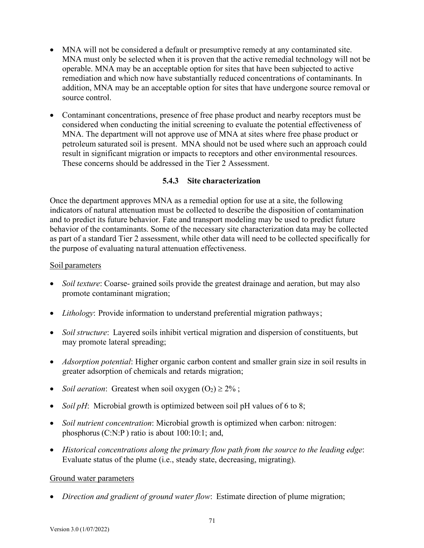- MNA will not be considered a default or presumptive remedy at any contaminated site. MNA must only be selected when it is proven that the active remedial technology will not be operable. MNA may be an acceptable option for sites that have been subjected to active remediation and which now have substantially reduced concentrations of contaminants. In addition, MNA may be an acceptable option for sites that have undergone source removal or source control.
- Contaminant concentrations, presence of free phase product and nearby receptors must be considered when conducting the initial screening to evaluate the potential effectiveness of MNA. The department will not approve use of MNA at sites where free phase product or petroleum saturated soil is present. MNA should not be used where such an approach could result in significant migration or impacts to receptors and other environmental resources. These concerns should be addressed in the Tier 2 Assessment.

## **5.4.3 Site characterization**

Once the department approves MNA as a remedial option for use at a site, the following indicators of natural attenuation must be collected to describe the disposition of contamination and to predict its future behavior. Fate and transport modeling may be used to predict future behavior of the contaminants. Some of the necessary site characterization data may be collected as part of a standard Tier 2 assessment, while other data will need to be collected specifically for the purpose of evaluating natural attenuation effectiveness.

#### Soil parameters

- *Soil texture*: Coarse- grained soils provide the greatest drainage and aeration, but may also promote contaminant migration;
- *Lithology*: Provide information to understand preferential migration pathways;
- *Soil structure*: Layered soils inhibit vertical migration and dispersion of constituents, but may promote lateral spreading;
- *Adsorption potential*: Higher organic carbon content and smaller grain size in soil results in greater adsorption of chemicals and retards migration;
- *Soil aeration*: Greatest when soil oxygen  $(O_2) \ge 2\%$ ;
- *Soil pH*: Microbial growth is optimized between soil pH values of 6 to 8;
- *Soil nutrient concentration*: Microbial growth is optimized when carbon: nitrogen: phosphorus (C:N:P ) ratio is about 100:10:1; and,
- *Historical concentrations along the primary flow path from the source to the leading edge*: Evaluate status of the plume (i.e., steady state, decreasing, migrating).

#### Ground water parameters

• *Direction and gradient of ground water flow*: Estimate direction of plume migration;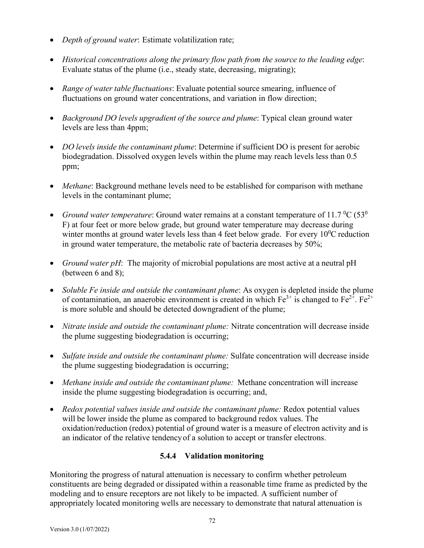- *Depth of ground water*: Estimate volatilization rate;
- *Historical concentrations along the primary flow path from the source to the leading edge*: Evaluate status of the plume (i.e., steady state, decreasing, migrating);
- *Range of water table fluctuations*: Evaluate potential source smearing, influence of fluctuations on ground water concentrations, and variation in flow direction;
- *Background DO levels upgradient of the source and plume*: Typical clean ground water levels are less than 4ppm;
- *DO levels inside the contaminant plume*: Determine if sufficient DO is present for aerobic biodegradation. Dissolved oxygen levels within the plume may reach levels less than 0.5 ppm;
- *Methane*: Background methane levels need to be established for comparison with methane levels in the contaminant plume;
- *Ground water temperature*: Ground water remains at a constant temperature of 11.7  $^0C$  (53<sup>0</sup>) F) at four feet or more below grade, but ground water temperature may decrease during winter months at ground water levels less than 4 feet below grade. For every  $10^{0}$ C reduction in ground water temperature, the metabolic rate of bacteria decreases by 50%;
- *Ground water pH*: The majority of microbial populations are most active at a neutral pH (between 6 and 8);
- *Soluble Fe inside and outside the contaminant plume*: As oxygen is depleted inside the plume of contamination, an anaerobic environment is created in which  $Fe^{3+}$  is changed to  $Fe^{2+}$ .  $Fe^{2+}$ is more soluble and should be detected downgradient of the plume;
- *Nitrate inside and outside the contaminant plume:* Nitrate concentration will decrease inside the plume suggesting biodegradation is occurring;
- *Sulfate inside and outside the contaminant plume:* Sulfate concentration will decrease inside the plume suggesting biodegradation is occurring;
- *Methane inside and outside the contaminant plume:* Methane concentration will increase inside the plume suggesting biodegradation is occurring; and,
- *Redox potential values inside and outside the contaminant plume:* Redox potential values will be lower inside the plume as compared to background redox values. The oxidation/reduction (redox) potential of ground water is a measure of electron activity and is an indicator of the relative tendencyof a solution to accept or transfer electrons.

# **5.4.4 Validation monitoring**

Monitoring the progress of natural attenuation is necessary to confirm whether petroleum constituents are being degraded or dissipated within a reasonable time frame as predicted by the modeling and to ensure receptors are not likely to be impacted. A sufficient number of appropriately located monitoring wells are necessary to demonstrate that natural attenuation is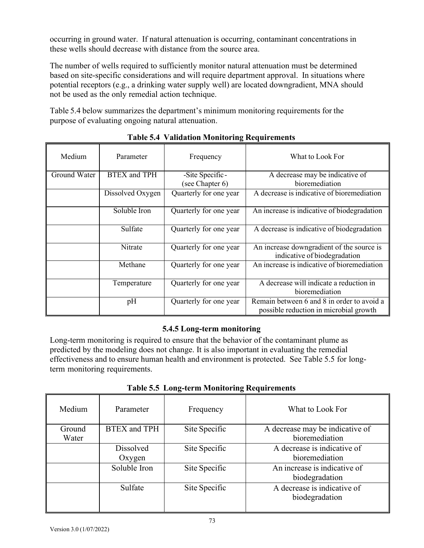occurring in ground water. If natural attenuation is occurring, contaminant concentrations in these wells should decrease with distance from the source area.

The number of wells required to sufficiently monitor natural attenuation must be determined based on site-specific considerations and will require department approval. In situations where potential receptors (e.g., a drinking water supply well) are located downgradient, MNA should not be used as the only remedial action technique.

Table 5.4 below summarizes the department's minimum monitoring requirements for the purpose of evaluating ongoing natural attenuation.

| Medium       | Parameter           | Frequency                          | What to Look For                                                                     |
|--------------|---------------------|------------------------------------|--------------------------------------------------------------------------------------|
| Ground Water | <b>BTEX</b> and TPH | -Site Specific-<br>(see Chapter 6) | A decrease may be indicative of<br>bioremediation                                    |
|              | Dissolved Oxygen    | Quarterly for one year             | A decrease is indicative of bioremediation                                           |
|              | Soluble Iron        | Quarterly for one year             | An increase is indicative of biodegradation                                          |
|              | Sulfate             | Quarterly for one year             | A decrease is indicative of biodegradation                                           |
|              | Nitrate             | Quarterly for one year             | An increase downgradient of the source is<br>indicative of biodegradation            |
|              | Methane             | Quarterly for one year             | An increase is indicative of bioremediation                                          |
|              | Temperature         | Quarterly for one year             | A decrease will indicate a reduction in<br>bioremediation                            |
|              | pH                  | Quarterly for one year             | Remain between 6 and 8 in order to avoid a<br>possible reduction in microbial growth |

## **Table 5.4 Validation Monitoring Requirements**

## **5.4.5 Long-term monitoring**

Long-term monitoring is required to ensure that the behavior of the contaminant plume as predicted by the modeling does not change. It is also important in evaluating the remedial effectiveness and to ensure human health and environment is protected. See Table 5.5 for longterm monitoring requirements.

| Medium          | Parameter           | Frequency     | What to Look For                                  |
|-----------------|---------------------|---------------|---------------------------------------------------|
| Ground<br>Water | <b>BTEX</b> and TPH | Site Specific | A decrease may be indicative of<br>bioremediation |
|                 | Dissolved<br>Oxygen | Site Specific | A decrease is indicative of<br>bioremediation     |
|                 | Soluble Iron        | Site Specific | An increase is indicative of<br>biodegradation    |
|                 | Sulfate             | Site Specific | A decrease is indicative of<br>biodegradation     |

**Table 5.5 Long-term Monitoring Requirements**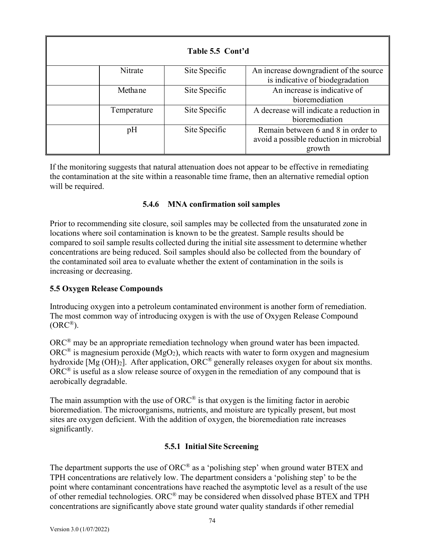| Table 5.5 Cont'd |             |               |                                                                                         |
|------------------|-------------|---------------|-----------------------------------------------------------------------------------------|
|                  | Nitrate     | Site Specific | An increase downgradient of the source<br>is indicative of biodegradation               |
|                  | Methane     | Site Specific | An increase is indicative of<br>bioremediation                                          |
|                  | Temperature | Site Specific | A decrease will indicate a reduction in<br>bioremediation                               |
|                  | pH          | Site Specific | Remain between 6 and 8 in order to<br>avoid a possible reduction in microbial<br>growth |

If the monitoring suggests that natural attenuation does not appear to be effective in remediating the contamination at the site within a reasonable time frame, then an alternative remedial option will be required.

## **5.4.6 MNA confirmation soil samples**

Prior to recommending site closure, soil samples may be collected from the unsaturated zone in locations where soil contamination is known to be the greatest. Sample results should be compared to soil sample results collected during the initial site assessment to determine whether concentrations are being reduced. Soil samples should also be collected from the boundary of the contaminated soil area to evaluate whether the extent of contamination in the soils is increasing or decreasing.

## **5.5 Oxygen Release Compounds**

Introducing oxygen into a petroleum contaminated environment is another form of remediation. The most common way of introducing oxygen is with the use of Oxygen Release Compound  $(ORC^{\circledR}).$ 

ORC® may be an appropriate remediation technology when ground water has been impacted.  $\overrightarrow{ORC}$ <sup>®</sup> is magnesium peroxide (MgO<sub>2</sub>), which reacts with water to form oxygen and magnesium hydroxide [Mg (OH)<sub>2</sub>]. After application, ORC<sup>®</sup> generally releases oxygen for about six months.  $\overrightarrow{ORC}$ <sup>®</sup> is useful as a slow release source of oxygen in the remediation of any compound that is aerobically degradable.

The main assumption with the use of  $ORC^{\mathcal{B}}$  is that oxygen is the limiting factor in aerobic bioremediation. The microorganisms, nutrients, and moisture are typically present, but most sites are oxygen deficient. With the addition of oxygen, the bioremediation rate increases significantly.

## **5.5.1 Initial Site Screening**

The department supports the use of ORC® as a 'polishing step' when ground water BTEX and TPH concentrations are relatively low. The department considers a 'polishing step' to be the point where contaminant concentrations have reached the asymptotic level as a result of the use of other remedial technologies. ORC® may be considered when dissolved phase BTEX and TPH concentrations are significantly above state ground water quality standards if other remedial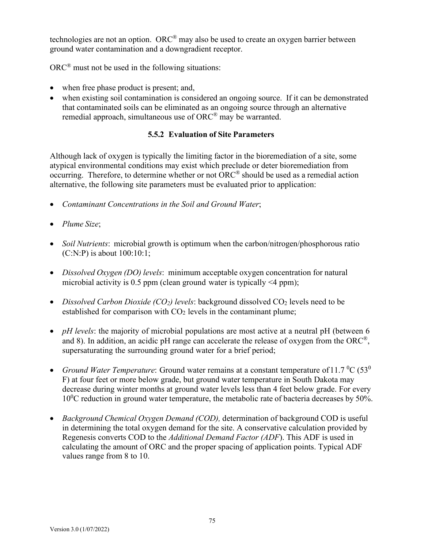technologies are not an option. ORC<sup>®</sup> may also be used to create an oxygen barrier between ground water contamination and a downgradient receptor.

ORC® must not be used in the following situations:

- when free phase product is present; and,
- when existing soil contamination is considered an ongoing source. If it can be demonstrated that contaminated soils can be eliminated as an ongoing source through an alternative remedial approach, simultaneous use of  $ORC^{\otimes}$  may be warranted.

## **5.5.2 Evaluation of Site Parameters**

Although lack of oxygen is typically the limiting factor in the bioremediation of a site, some atypical environmental conditions may exist which preclude or deter bioremediation from occurring. Therefore, to determine whether or not ORC® should be used as a remedial action alternative, the following site parameters must be evaluated prior to application:

- *Contaminant Concentrations in the Soil and Ground Water*;
- *Plume Size*;
- *Soil Nutrients*: microbial growth is optimum when the carbon/nitrogen/phosphorous ratio (C:N:P) is about 100:10:1;
- *Dissolved Oxygen (DO) levels*: minimum acceptable oxygen concentration for natural microbial activity is  $0.5$  ppm (clean ground water is typically  $\leq 4$  ppm);
- *Dissolved Carbon Dioxide (CO<sub>2</sub>) levels*: background dissolved CO<sub>2</sub> levels need to be established for comparison with  $CO<sub>2</sub>$  levels in the contaminant plume;
- *pH levels*: the majority of microbial populations are most active at a neutral pH (between 6 and 8). In addition, an acidic pH range can accelerate the release of oxygen from the ORC<sup>®</sup>, supersaturating the surrounding ground water for a brief period;
- *Ground Water Temperature*: Ground water remains at a constant temperature of 11.7 <sup>o</sup>C (53<sup>0</sup>) F) at four feet or more below grade, but ground water temperature in South Dakota may decrease during winter months at ground water levels less than 4 feet below grade. For every  $10^{0}$ C reduction in ground water temperature, the metabolic rate of bacteria decreases by 50%.
- *Background Chemical Oxygen Demand (COD),* determination of background COD is useful in determining the total oxygen demand for the site. A conservative calculation provided by Regenesis converts COD to the *Additional Demand Factor (ADF*). This ADF is used in calculating the amount of ORC and the proper spacing of application points. Typical ADF values range from 8 to 10.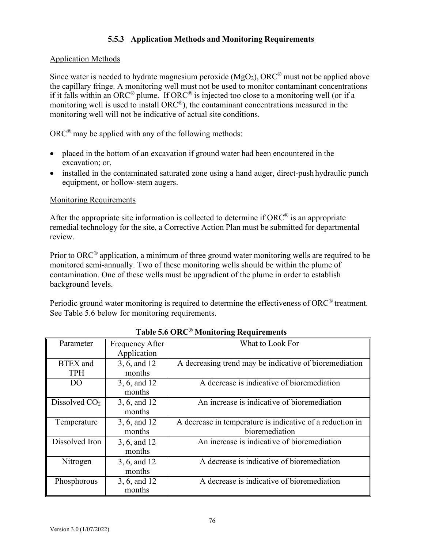# **5.5.3 Application Methods and Monitoring Requirements**

## Application Methods

Since water is needed to hydrate magnesium peroxide  $(MgO<sub>2</sub>)$ , ORC<sup>®</sup> must not be applied above the capillary fringe. A monitoring well must not be used to monitor contaminant concentrations if it falls within an ORC® plume. If ORC® is injected too close to a monitoring well (or if a monitoring well is used to install ORC®), the contaminant concentrations measured in the monitoring well will not be indicative of actual site conditions.

 $ORC<sup>®</sup>$  may be applied with any of the following methods:

- placed in the bottom of an excavation if ground water had been encountered in the excavation; or,
- installed in the contaminated saturated zone using a hand auger, direct-push hydraulic punch equipment, or hollow-stem augers.

#### Monitoring Requirements

After the appropriate site information is collected to determine if  $ORC^{\mathcal{D}}$  is an appropriate remedial technology for the site, a Corrective Action Plan must be submitted for departmental review.

Prior to ORC<sup>®</sup> application, a minimum of three ground water monitoring wells are required to be monitored semi-annually. Two of these monitoring wells should be within the plume of contamination. One of these wells must be upgradient of the plume in order to establish background levels.

Periodic ground water monitoring is required to determine the effectiveness of ORC® treatment. See Table 5.6 below for monitoring requirements.

| Parameter                     | Frequency After<br>Application | What to Look For                                                            |
|-------------------------------|--------------------------------|-----------------------------------------------------------------------------|
| <b>BTEX</b> and<br><b>TPH</b> | 3, 6, and 12<br>months         | A decreasing trend may be indicative of bioremediation                      |
| DO                            | 3, 6, and 12<br>months         | A decrease is indicative of bioremediation                                  |
| Dissolved $CO2$               | 3, 6, and 12<br>months         | An increase is indicative of bioremediation                                 |
| Temperature                   | 3, 6, and 12<br>months         | A decrease in temperature is indicative of a reduction in<br>bioremediation |
| Dissolved Iron                | 3, 6, and 12<br>months         | An increase is indicative of bioremediation                                 |
| Nitrogen                      | 3, 6, and 12<br>months         | A decrease is indicative of bioremediation                                  |
| Phosphorous                   | 3, 6, and 12<br>months         | A decrease is indicative of bioremediation                                  |

**Table 5.6 ORC® Monitoring Requirements**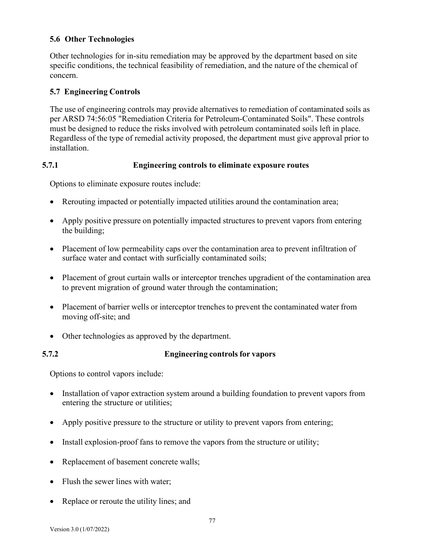### **5.6 Other Technologies**

Other technologies for in-situ remediation may be approved by the department based on site specific conditions, the technical feasibility of remediation, and the nature of the chemical of concern.

#### **5.7 Engineering Controls**

The use of engineering controls may provide alternatives to remediation of contaminated soils as per ARSD 74:56:05 "Remediation Criteria for Petroleum-Contaminated Soils". These controls must be designed to reduce the risks involved with petroleum contaminated soils left in place. Regardless of the type of remedial activity proposed, the department must give approval prior to installation.

## **5.7.1 Engineering controls to eliminate exposure routes**

Options to eliminate exposure routes include:

- Rerouting impacted or potentially impacted utilities around the contamination area;
- Apply positive pressure on potentially impacted structures to prevent vapors from entering the building;
- Placement of low permeability caps over the contamination area to prevent infiltration of surface water and contact with surficially contaminated soils;
- Placement of grout curtain walls or interceptor trenches upgradient of the contamination area to prevent migration of ground water through the contamination;
- Placement of barrier wells or interceptor trenches to prevent the contaminated water from moving off-site; and
- Other technologies as approved by the department.

#### **5.7.2 Engineering controls for vapors**

Options to control vapors include:

- Installation of vapor extraction system around a building foundation to prevent vapors from entering the structure or utilities;
- Apply positive pressure to the structure or utility to prevent vapors from entering;
- Install explosion-proof fans to remove the vapors from the structure or utility;
- Replacement of basement concrete walls;
- Flush the sewer lines with water;
- Replace or reroute the utility lines; and